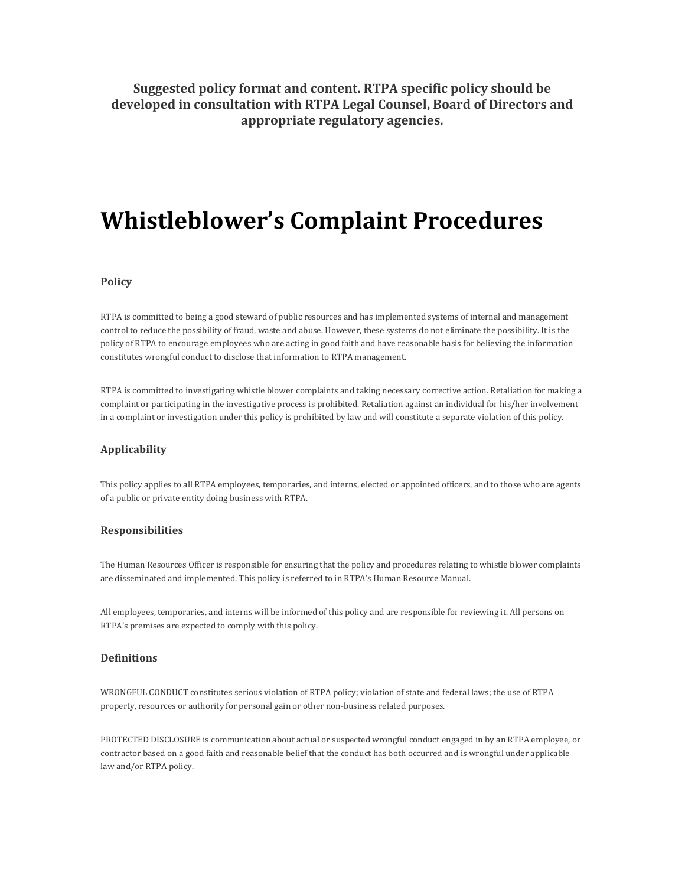## **Suggested policy format and content. RTPA specific policy should be developed in consultation with RTPA Legal Counsel, Board of Directors and appropriate regulatory agencies.**

# **Whistleblower's Complaint Procedures**

#### **Policy**

RTPA is committed to being a good steward of public resources and has implemented systems of internal and management control to reduce the possibility of fraud, waste and abuse. However, these systems do not eliminate the possibility. It is the policy of RTPA to encourage employees who are acting in good faith and have reasonable basis for believing the information constitutes wrongful conduct to disclose that information to RTPA management.

RTPA is committed to investigating whistle blower complaints and taking necessary corrective action. Retaliation for making a complaint or participating in the investigative process is prohibited. Retaliation against an individual for his/her involvement in a complaint or investigation under this policy is prohibited by law and will constitute a separate violation of this policy.

### **Applicability**

This policy applies to all RTPA employees, temporaries, and interns, elected or appointed officers, and to those who are agents of a public or private entity doing business with RTPA.

#### **Responsibilities**

The Human Resources Officer is responsible for ensuring that the policy and procedures relating to whistle blower complaints are disseminated and implemented. This policy is referred to in RTPA's Human Resource Manual.

All employees, temporaries, and interns will be informed of this policy and are responsible for reviewing it. All persons on RTPA's premises are expected to comply with this policy.

### **Definitions**

WRONGFUL CONDUCT constitutes serious violation of RTPA policy; violation of state and federal laws; the use of RTPA property, resources or authority for personal gain or other non-business related purposes.

PROTECTED DISCLOSURE is communication about actual or suspected wrongful conduct engaged in by an RTPA employee, or contractor based on a good faith and reasonable belief that the conduct has both occurred and is wrongful under applicable law and/or RTPA policy.